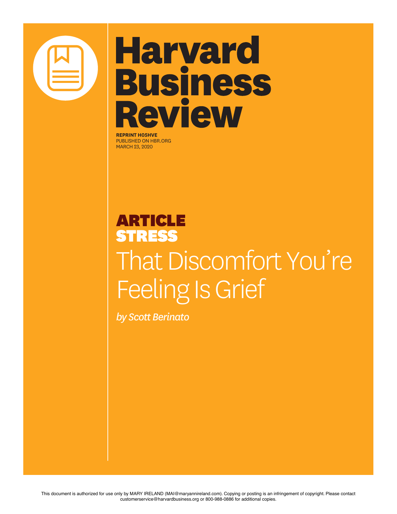

# **Harvard Business Review**

**REPRINT H05HVE** PUBLISHED ON HBR.ORG MARCH 23, 2020

### ARTICLE **STRESS** That Discomfort You're Feeling Is Grief

*by Scott Berinato*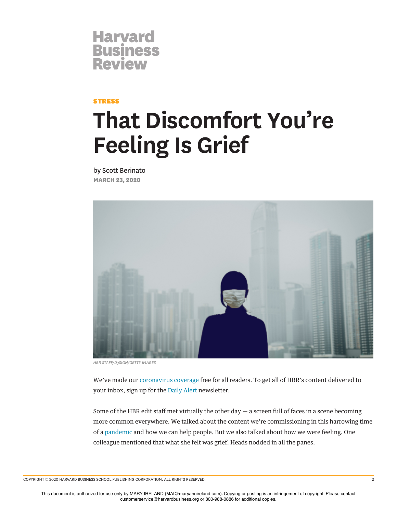### **Harvard<br>Business Review**

#### **STRESS**

## **That Discomfort You're Feeling Is Grief**

by Scott Berinato **MARCH 23, 2020**



*HBR STAFF/D3SIGN/GETTY IMAGES*

We've made our [coronavirus coverage](https://hbr.org/insight-center/coronavirus?ab=articlewidget-insightcenter-coronavirus) free for all readers. To get all of HBR's content delivered to your inbox, sign up for the [Daily Alert](https://hbr.org/email-newsletters?ab=articlewidget-newsletter-coronavirus&movetile=dailyalert) newsletter.

Some of the HBR edit staff met virtually the other day  $-$  a screen full of faces in a scene becoming more common everywhere. We talked about the content we're commissioning in this harrowing time of a [pandemic](https://hbr.org/insight-center/coronavirus) and how we can help people. But we also talked about how we were feeling. One colleague mentioned that what she felt was grief. Heads nodded in all the panes.

COPYRIGHT © 2020 HARVARD BUSINESS SCHOOL PUBLISHING CORPORATION. ALL RIGHTS RESERVED. 2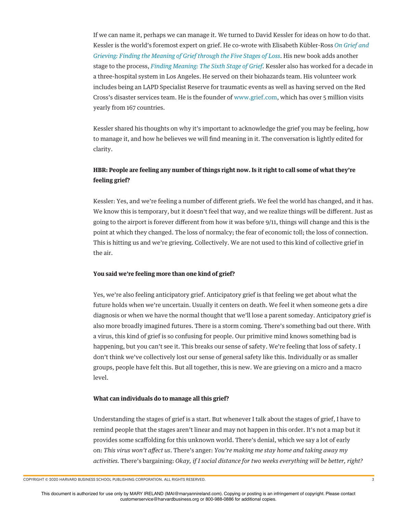If we can name it, perhaps we can manage it. We turned to David Kessler for ideas on how to do that. Kessler is the world's foremost expert on grief. He co-wrote with Elisabeth Kübler-Ross *[On Grief and](https://www.amazon.com/Grief-Grieving-Finding-Meaning-Through/dp/1476775559) [Grieving: Finding the Meaning of Grief through the Five Stages of Loss](https://www.amazon.com/Grief-Grieving-Finding-Meaning-Through/dp/1476775559)*. His new book adds another stage to the process, *[Finding Meaning: The Sixth Stage of Grief](https://www.amazon.com/Finding-Meaning-Sixth-Stage-Grief/dp/1501192736).* Kessler also has worked for a decade in a three-hospital system in Los Angeles. He served on their biohazards team. His volunteer work includes being an LAPD Specialist Reserve for traumatic events as well as having served on the Red Cross's disaster services team. He is the founder of [www.grief.com](http://www.grief.com/), which has over 5 million visits yearly from 167 countries.

Kessler shared his thoughts on why it's important to acknowledge the grief you may be feeling, how to manage it, and how he believes we will fnd meaning in it. The conversation is lightly edited for clarity.

#### **HBR: People are feeling any number of things right now. Is it right to call some of what they're feeling grief?**

Kessler: Yes, and we're feeling a number of diferent griefs. We feel the world has changed, and it has. We know this is temporary, but it doesn't feel that way, and we realize things will be diferent. Just as going to the airport is forever diferent from how it was before 9/11, things will change and this is the point at which they changed. The loss of normalcy; the fear of economic toll; the loss of connection. This is hitting us and we're grieving. Collectively. We are not used to this kind of collective grief in the air.

#### **You said we're feeling more than one kind of grief?**

Yes, we're also feeling anticipatory grief. Anticipatory grief is that feeling we get about what the future holds when we're uncertain. Usually it centers on death. We feel it when someone gets a dire diagnosis or when we have the normal thought that we'll lose a parent someday. Anticipatory grief is also more broadly imagined futures. There is a storm coming. There's something bad out there. With a virus, this kind of grief is so confusing for people. Our primitive mind knows something bad is happening, but you can't see it. This breaks our sense of safety. We're feeling that loss of safety. I don't think we've collectively lost our sense of general safety like this. Individually or as smaller groups, people have felt this. But all together, this is new. We are grieving on a micro and a macro level.

#### **What can individuals do to manage all this grief?**

Understanding the stages of grief is a start. But whenever I talk about the stages of grief, I have to remind people that the stages aren't linear and may not happen in this order. It's not a map but it provides some scafolding for this unknown world. There's denial, which we say a lot of early on: *This virus won't a*f*ect us*. There's anger: *You're making me stay home and taking away my activities.* There's bargaining: *Okay, if I social distance for two weeks everything will be better, right?*

COPYRIGHT © 2020 HARVARD BUSINESS SCHOOL PUBLISHING CORPORATION. ALL RIGHTS RESERVED. 3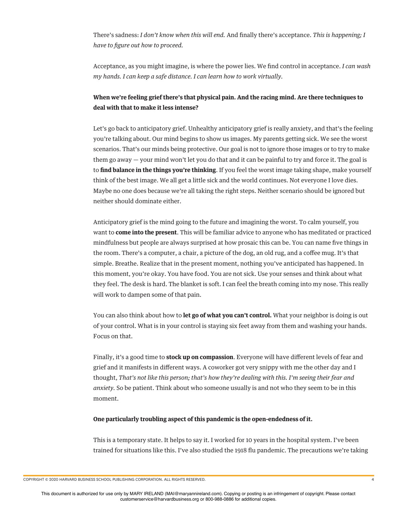There's sadness: *I don't know when this will end.* And fnally there's acceptance. *This is happening; I have to* f*gure out how to proceed.*

Acceptance, as you might imagine, is where the power lies. We fnd control in acceptance. *I can wash my hands. I can keep a safe distance. I can learn how to work virtually.*

#### **When we're feeling grief there's that physical pain. And the racing mind. Are there techniques to deal with that to make it less intense?**

Let's go back to anticipatory grief. Unhealthy anticipatory grief is really anxiety, and that's the feeling you're talking about. Our mind begins to show us images. My parents getting sick. We see the worst scenarios. That's our minds being protective. Our goal is not to ignore those images or to try to make them go away — your mind won't let you do that and it can be painful to try and force it. The goal is to **fnd balance in the things you're thinking**. If you feel the worst image taking shape, make yourself think of the best image. We all get a little sick and the world continues. Not everyone I love dies. Maybe no one does because we're all taking the right steps. Neither scenario should be ignored but neither should dominate either.

Anticipatory grief is the mind going to the future and imagining the worst. To calm yourself, you want to **come into the present**. This will be familiar advice to anyone who has meditated or practiced mindfulness but people are always surprised at how prosaic this can be. You can name fve things in the room. There's a computer, a chair, a picture of the dog, an old rug, and a cofee mug. It's that simple. Breathe. Realize that in the present moment, nothing you've anticipated has happened. In this moment, you're okay. You have food. You are not sick. Use your senses and think about what they feel. The desk is hard. The blanket is soft. I can feel the breath coming into my nose. This really will work to dampen some of that pain.

You can also think about how to **let go of what you can't control.** What your neighbor is doing is out of your control. What is in your control is staying six feet away from them and washing your hands. Focus on that.

Finally, it's a good time to **stock up on compassion**. Everyone will have diferent levels of fear and grief and it manifests in diferent ways. A coworker got very snippy with me the other day and I thought, *That's not like this person; that's how they're dealing with this. I'm seeing their fear and anxiety.* So be patient. Think about who someone usually is and not who they seem to be in this moment.

#### **One particularly troubling aspect of this pandemic is the open-endedness of it.**

This is a temporary state. It helps to say it. I worked for 10 years in the hospital system. I've been trained for situations like this. I've also studied the 1918 fu pandemic. The precautions we're taking

COPYRIGHT © 2020 HARVARD BUSINESS SCHOOL PUBLISHING CORPORATION. ALL RIGHTS RESERVED. 4